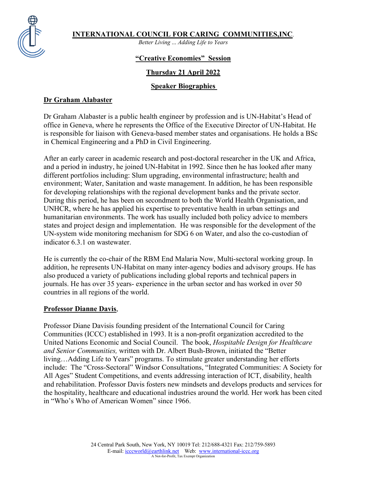

*Better Living* ... *Adding Life to Years*

## **"Creative Economies" Session**

# **Thursday 21 April 2022**

### **Speaker Biographies**

### **Dr Graham Alabaster**

Dr Graham Alabaster is a public health engineer by profession and is UN-Habitat's Head of office in Geneva, where he represents the Office of the Executive Director of UN-Habitat. He is responsible for liaison with Geneva-based member states and organisations. He holds a BSc in Chemical Engineering and a PhD in Civil Engineering.

After an early career in academic research and post-doctoral researcher in the UK and Africa, and a period in industry, he joined UN-Habitat in 1992. Since then he has looked after many different portfolios including: Slum upgrading, environmental infrastructure; health and environment; Water, Sanitation and waste management. In addition, he has been responsible for developing relationships with the regional development banks and the private sector. During this period, he has been on secondment to both the World Health Organisation, and UNHCR, where he has applied his expertise to preventative health in urban settings and humanitarian environments. The work has usually included both policy advice to members states and project design and implementation. He was responsible for the development of the UN-system wide monitoring mechanism for SDG 6 on Water, and also the co-custodian of indicator 6.3.1 on wastewater.

He is currently the co-chair of the RBM End Malaria Now, Multi-sectoral working group. In addition, he represents UN-Habitat on many inter-agency bodies and advisory groups. He has also produced a variety of publications including global reports and technical papers in journals. He has over 35 years- experience in the urban sector and has worked in over 50 countries in all regions of the world.

#### **Professor Dianne Davis**,

Professor Diane Davisis founding president of the International Council for Caring Communities (ICCC) established in 1993. It is a non-profit organization accredited to the United Nations Economic and Social Council. The book, *Hospitable Design for Healthcare and Senior Communities,* written with Dr. Albert Bush-Brown, initiated the "Better living…Adding Life to Years" programs. To stimulate greater understanding her efforts include: The "Cross-Sectoral" Windsor Consultations, "Integrated Communities: A Society for All Ages" Student Competitions, and events addressing interaction of ICT, disability, health and rehabilitation. Professor Davis fosters new mindsets and develops products and services for the hospitality, healthcare and educational industries around the world. Her work has been cited in "Who's Who of American Women" since 1966.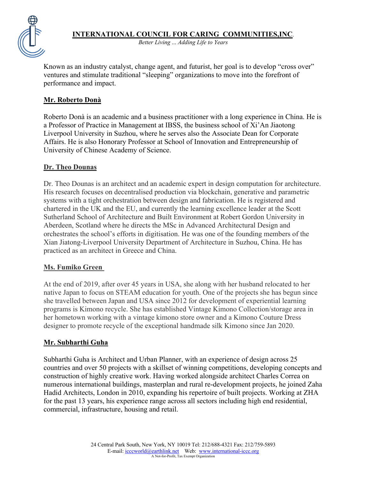

*Better Living* ... *Adding Life to Years*

Known as an industry catalyst, change agent, and futurist, her goal is to develop "cross over" ventures and stimulate traditional "sleeping" organizations to move into the forefront of performance and impact.

## **Mr. Roberto Donà**

Roberto Donà is an academic and a business practitioner with a long experience in China. He is a Professor of Practice in Management at IBSS, the business school of Xi'An Jiaotong Liverpool University in Suzhou, where he serves also the Associate Dean for Corporate Affairs. He is also Honorary Professor at School of Innovation and Entrepreneurship of University of Chinese Academy of Science.

### **Dr. Theo Dounas**

Dr. Theo Dounas is an architect and an academic expert in design computation for architecture. His research focuses on decentralised production via blockchain, generative and parametric systems with a tight orchestration between design and fabrication. He is registered and chartered in the UK and the EU, and currently the learning excellence leader at the Scott Sutherland School of Architecture and Built Environment at Robert Gordon University in Aberdeen, Scotland where he directs the MSc in Advanced Architectural Design and orchestrates the school's efforts in digitisation. He was one of the founding members of the Xian Jiatong-Liverpool University Department of Architecture in Suzhou, China. He has practiced as an architect in Greece and China.

### **Ms. Fumiko Green**

At the end of 2019, after over 45 years in USA, she along with her husband relocated to her native Japan to focus on STEAM education for youth. One of the projects she has begun since she travelled between Japan and USA since 2012 for development of experiential learning programs is Kimono recycle. She has established Vintage Kimono Collection/storage area in her hometown working with a vintage kimono store owner and a Kimono Couture Dress designer to promote recycle of the exceptional handmade silk Kimono since Jan 2020.

### **Mr. Subharthi Guha**

Subharthi Guha is Architect and Urban Planner, with an experience of design across 25 countries and over 50 projects with a skillset of winning competitions, developing concepts and construction of highly creative work. Having worked alongside architect Charles Correa on numerous international buildings, masterplan and rural re-development projects, he joined Zaha Hadid Architects, London in 2010, expanding his repertoire of built projects. Working at ZHA for the past 13 years, his experience range across all sectors including high end residential, commercial, infrastructure, housing and retail.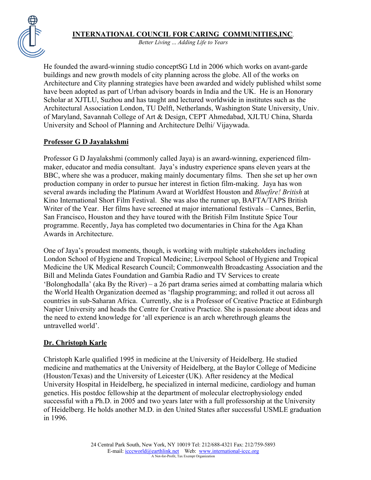



*Better Living* ... *Adding Life to Years*

He founded the award-winning studio conceptSG Ltd in 2006 which works on avant-garde buildings and new growth models of city planning across the globe. All of the works on Architecture and City planning strategies have been awarded and widely published whilst some have been adopted as part of Urban advisory boards in India and the UK. He is an Honorary Scholar at XJTLU, Suzhou and has taught and lectured worldwide in institutes such as the Architectural Association London, TU Delft, Netherlands, Washington State University, Univ. of Maryland, Savannah College of Art & Design, CEPT Ahmedabad, XJLTU China, Sharda University and School of Planning and Architecture Delhi/ Vijaywada.

#### **Professor G D Jayalakshmi**

Professor G D Jayalakshmi (commonly called Jaya) is an award-winning, experienced filmmaker, educator and media consultant. Jaya's industry experience spans eleven years at the BBC, where she was a producer, making mainly documentary films. Then she set up her own production company in order to pursue her interest in fiction film-making. Jaya has won several awards including the Platinum Award at Worldfest Houston and *Bluefire! British* at Kino International Short Film Festival. She was also the runner up, BAFTA/TAPS British Writer of the Year. Her films have screened at major international festivals – Cannes, Berlin, San Francisco, Houston and they have toured with the British Film Institute Spice Tour programme. Recently, Jaya has completed two documentaries in China for the Aga Khan Awards in Architecture.

One of Jaya's proudest moments, though, is working with multiple stakeholders including London School of Hygiene and Tropical Medicine; Liverpool School of Hygiene and Tropical Medicine the UK Medical Research Council; Commonwealth Broadcasting Association and the Bill and Melinda Gates Foundation and Gambia Radio and TV Services to create 'Bolonghodalla' (aka By the River) – a 26 part drama series aimed at combatting malaria which the World Health Organization deemed as 'flagship programming; and rolled it out across all countries in sub-Saharan Africa. Currently, she is a Professor of Creative Practice at Edinburgh Napier University and heads the Centre for Creative Practice. She is passionate about ideas and the need to extend knowledge for 'all experience is an arch wherethrough gleams the untravelled world'.

### **Dr. Christoph Karle**

Christoph Karle qualified 1995 in medicine at the University of Heidelberg. He studied medicine and mathematics at the University of Heidelberg, at the Baylor College of Medicine (Houston/Texas) and the University of Leicester (UK). After residency at the Medical University Hospital in Heidelberg, he specialized in internal medicine, cardiology and human genetics. His postdoc fellowship at the department of molecular electrophysiology ended successful with a Ph.D. in 2005 and two years later with a full professorship at the University of Heidelberg. He holds another M.D. in den United States after successful USMLE graduation in 1996.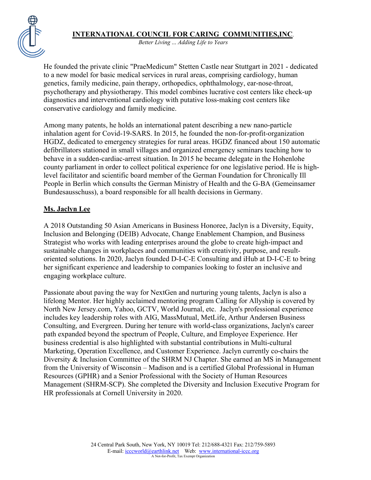

*Better Living* ... *Adding Life to Years*

He founded the private clinic "PraeMedicum" Stetten Castle near Stuttgart in 2021 - dedicated to a new model for basic medical services in rural areas, comprising cardiology, human genetics, family medicine, pain therapy, orthopedics, ophthalmology, ear-nose-throat, psychotherapy and physiotherapy. This model combines lucrative cost centers like check-up diagnostics and interventional cardiology with putative loss-making cost centers like conservative cardiology and family medicine.

Among many patents, he holds an international patent describing a new nano-particle inhalation agent for Covid-19-SARS. In 2015, he founded the non-for-profit-organization HGDZ, dedicated to emergency strategies for rural areas. HGDZ financed about 150 automatic defibrillators stationed in small villages and organized emergency seminars teaching how to behave in a sudden-cardiac-arrest situation. In 2015 he became delegate in the Hohenlohe county parliament in order to collect political experience for one legislative period. He is highlevel facilitator and scientific board member of the German Foundation for Chronically Ill People in Berlin which consults the German Ministry of Health and the G-BA (Gemeinsamer Bundesausschuss), a board responsible for all health decisions in Germany.

## **Ms. Jaclyn Lee**

A 2018 Outstanding 50 Asian Americans in Business Honoree, Jaclyn is a Diversity, Equity, Inclusion and Belonging (DEIB) Advocate, Change Enablement Champion, and Business Strategist who works with leading enterprises around the globe to create high-impact and sustainable changes in workplaces and communities with creativity, purpose, and resultoriented solutions. In 2020, Jaclyn founded D-I-C-E Consulting and iHub at D-I-C-E to bring her significant experience and leadership to companies looking to foster an inclusive and engaging workplace culture.

Passionate about paving the way for NextGen and nurturing young talents, Jaclyn is also a lifelong Mentor. Her highly acclaimed mentoring program Calling for Allyship is covered by North New Jersey.com, Yahoo, GCTV, World Journal, etc. Jaclyn's professional experience includes key leadership roles with AIG, MassMutual, MetLife, Arthur Andersen Business Consulting, and Evergreen. During her tenure with world-class organizations, Jaclyn's career path expanded beyond the spectrum of People, Culture, and Employee Experience. Her business credential is also highlighted with substantial contributions in Multi-cultural Marketing, Operation Excellence, and Customer Experience. Jaclyn currently co-chairs the Diversity & Inclusion Committee of the SHRM NJ Chapter. She earned an MS in Management from the University of Wisconsin – Madison and is a certified Global Professional in Human Resources (GPHR) and a Senior Professional with the Society of Human Resources Management (SHRM-SCP). She completed the Diversity and Inclusion Executive Program for HR professionals at Cornell University in 2020.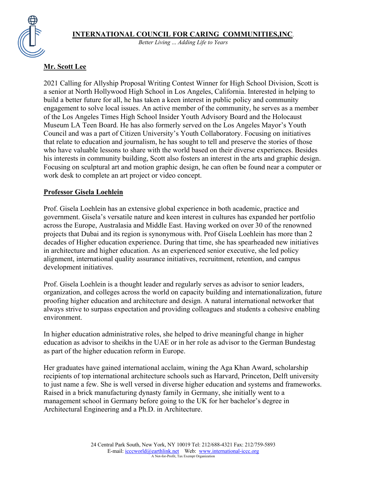

*Better Living* ... *Adding Life to Years*

# **Mr. Scott Lee**

2021 Calling for Allyship Proposal Writing Contest Winner for High School Division, Scott is a senior at North Hollywood High School in Los Angeles, California. Interested in helping to build a better future for all, he has taken a keen interest in public policy and community engagement to solve local issues. An active member of the community, he serves as a member of the Los Angeles Times High School Insider Youth Advisory Board and the Holocaust Museum LA Teen Board. He has also formerly served on the Los Angeles Mayor's Youth Council and was a part of Citizen University's Youth Collaboratory. Focusing on initiatives that relate to education and journalism, he has sought to tell and preserve the stories of those who have valuable lessons to share with the world based on their diverse experiences. Besides his interests in community building, Scott also fosters an interest in the arts and graphic design. Focusing on sculptural art and motion graphic design, he can often be found near a computer or work desk to complete an art project or video concept.

## **Professor Gisela Loehlein**

Prof. Gisela Loehlein has an extensive global experience in both academic, practice and government. Gisela's versatile nature and keen interest in cultures has expanded her portfolio across the Europe, Australasia and Middle East. Having worked on over 30 of the renowned projects that Dubai and its region is synonymous with. Prof Gisela Loehlein has more than 2 decades of Higher education experience. During that time, she has spearheaded new initiatives in architecture and higher education. As an experienced senior executive, she led policy alignment, international quality assurance initiatives, recruitment, retention, and campus development initiatives.

Prof. Gisela Loehlein is a thought leader and regularly serves as advisor to senior leaders, organization, and colleges across the world on capacity building and internationalization, future proofing higher education and architecture and design. A natural international networker that always strive to surpass expectation and providing colleagues and students a cohesive enabling environment.

In higher education administrative roles, she helped to drive meaningful change in higher education as advisor to sheikhs in the UAE or in her role as advisor to the German Bundestag as part of the higher education reform in Europe.

Her graduates have gained international acclaim, wining the Aga Khan Award, scholarship recipients of top international architecture schools such as Harvard, Princeton, Delft university to just name a few. She is well versed in diverse higher education and systems and frameworks. Raised in a brick manufacturing dynasty family in Germany, she initially went to a management school in Germany before going to the UK for her bachelor's degree in Architectural Engineering and a Ph.D. in Architecture.